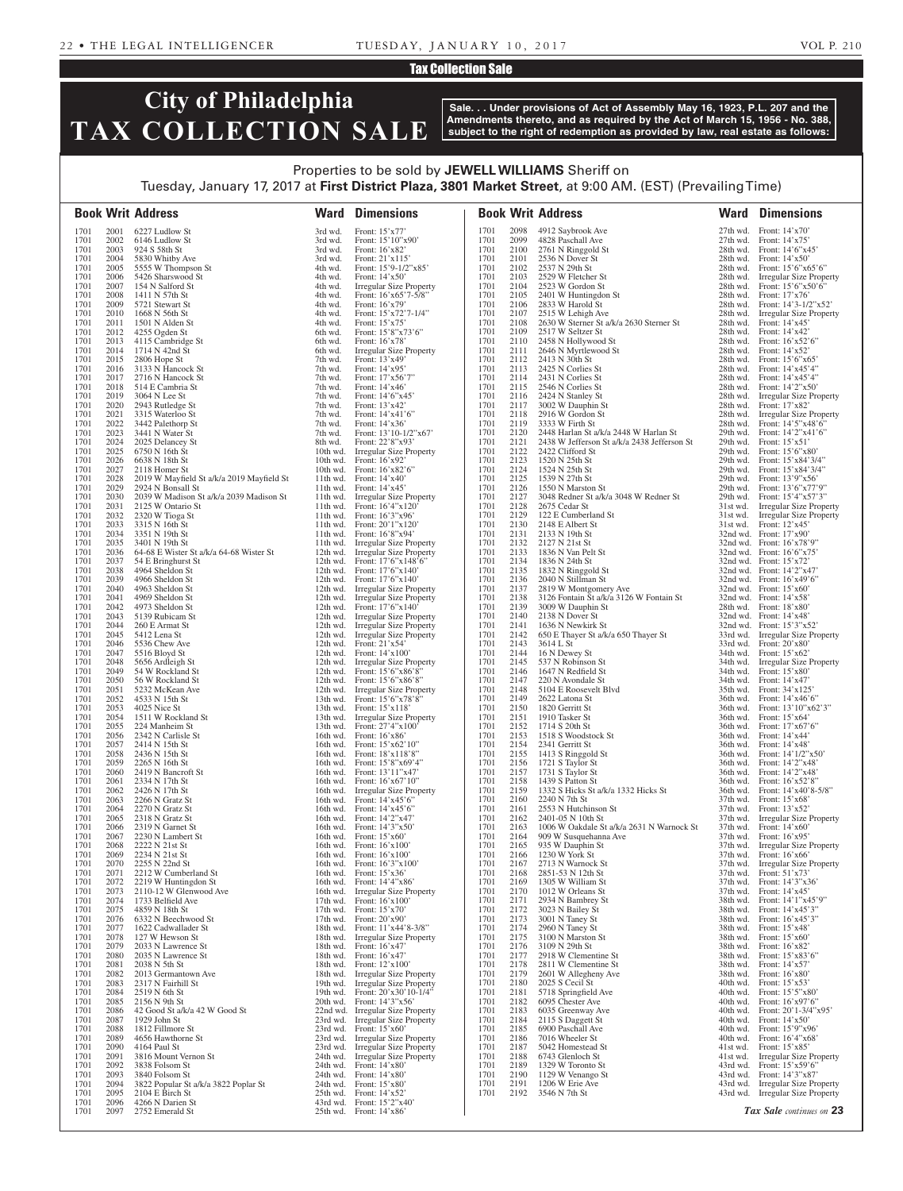#### Tax Collection Sale

# **City of Philadelphia TAX COLLECTION SALE**

**Sale. . . Under provisions of Act of Assembly May 16, 1923, P.L. 207 and the Amendments thereto, and as required by the Act of March 15, 1956 - No. 388, subject to the right of redemption as provided by law, real estate as follows:**

### Properties to be sold by **JEWELL WILLIAMS** Sheriff on Tuesday, January 17, 2017 at **First District Plaza, 3801 Market Street**, at 9:00 AM. (EST) (Prevailing Time)

|              |              | <b>Book Writ Address</b>                                      |                    | <b>Ward Dimensions</b>                                                      |              |              | <b>Book Writ Address</b>                                           |                      | <b>Ward Dimensions</b>                                                   |
|--------------|--------------|---------------------------------------------------------------|--------------------|-----------------------------------------------------------------------------|--------------|--------------|--------------------------------------------------------------------|----------------------|--------------------------------------------------------------------------|
| 1701         | 2001         | 6227 Ludlow St                                                | 3rd wd.            | Front: $15'$ x $77'$                                                        | 1701         | 2098         | 4912 Saybrook Ave                                                  |                      | 27th wd. Front: $14'x70'$                                                |
| 1701<br>1701 | 2002<br>2003 | 6146 Ludlow St<br>924 S 58th St                               | 3rd wd.<br>3rd wd. | Front: $15'10''x90'$<br>Front: 16'x82'                                      | 1701<br>1701 | 2099<br>2100 | 4828 Paschall Ave<br>2761 N Ringgold St                            |                      | 27th wd. Front: $14' \times 75'$<br>28th wd. Front: 14'6"x45"            |
| 1701         | 2004         | 5830 Whitby Ave                                               | 3rd wd.            | Front: 21'x115'                                                             | 1701         | 2101         | 2536 N Dover St                                                    | 28th wd.             | Front: $14'x50'$                                                         |
| 1701<br>1701 | 2005<br>2006 | 5555 W Thompson St<br>5426 Sharswood St                       | 4th wd.<br>4th wd. | Front: $15'9-1/2''x85'$<br>Front: $14'x50'$                                 | 1701<br>1701 | 2102<br>2103 | 2537 N 29th St<br>2529 W Fletcher St                               | 28th wd.<br>28th wd. | Front: $15'6''x65'6''$                                                   |
| 1701         | 2007         | 154 N Salford St                                              | 4th wd.            | Irregular Size Property                                                     | 1701         | 2104         | 2523 W Gordon St                                                   |                      | Irregular Size Property<br>28th wd. Front: 15'6"x50'6"                   |
| 1701         | 2008         | 1411 N 57th St                                                | 4th wd.            | Front: $16'x65'7-5/8"$                                                      | 1701         | 2105         | 2401 W Huntingdon St                                               | 28th wd.             | Front: 17'x76'                                                           |
| 1701<br>1701 | 2009<br>2010 | 5721 Stewart St<br>1668 N 56th St                             | 4th wd.<br>4th wd. | Front: $16'$ x79'<br>Front: 15'x72'7-1/4"                                   | 1701<br>1701 | 2106<br>2107 | 2833 W Harold St<br>2515 W Lehigh Ave                              | 28th wd.<br>28th wd. | Front: $14'3-1/2''x52'$<br>Irregular Size Property                       |
| 1701         | 2011         | 1501 N Alden St                                               | 4th wd.            | Front: $15'x75'$                                                            | 1701         | 2108         | 2630 W Sterner St a/k/a 2630 Sterner St                            |                      | 28th wd. Front: $14'x45'$                                                |
| 1701<br>1701 | 2012<br>2013 | 4255 Ogden St                                                 | 6th wd.            | Front: 15'8"x73'6"<br>Front: $16'$ x78'                                     | 1701<br>1701 | 2109<br>2110 | 2517 W Seltzer St                                                  |                      | 28th wd. Front: 14'x42'<br>28th wd. Front: $16'x52'6''$                  |
| 1701         | 2014         | 4115 Cambridge St<br>1714 N 42nd St                           | 6th wd.<br>6th wd. | Irregular Size Property                                                     | 1701         | 2111         | 2458 N Hollywood St<br>2646 N Myrtlewood St                        | 28th wd.             | Front: $14'x52'$                                                         |
| 1701         | 2015         | 2806 Hope St                                                  | 7th wd.            | Front: $13'x49'$                                                            | 1701         | 2112         | 2413 N 30th St                                                     | 28th wd.             | Front: $15^{\circ}6^{\circ}x65^{\circ}$                                  |
| 1701<br>1701 | 2016<br>2017 | 3133 N Hancock St<br>2716 N Hancock St                        | 7th wd.<br>7th wd. | Front: $14'x95'$<br>Front: 17'x56'7"                                        | 1701<br>1701 | 2113<br>2114 | 2425 N Corlies St<br>2431 N Corlies St                             | 28th wd.             | Front: $14'x45'4"$<br>28th wd. Front: 14'x45'4"                          |
| 1701         | 2018         | 514 E Cambria St                                              | 7th wd.            | Front: $14'x46'$                                                            | 1701         | 2115         | 2546 N Corlies St                                                  |                      | 28th wd. Front: $14'2''x50'$                                             |
| 1701<br>1701 | 2019<br>2020 | 3064 N Lee St<br>2943 Rutledge St                             | 7th wd.<br>7th wd. | Front: 14'6"x45'<br>Front: 13'x42'                                          | 1701<br>1701 | 2116<br>2117 | 2424 N Stanley St<br>3002 W Dauphin St                             | 28th wd.<br>28th wd. | Irregular Size Property<br>Front: 17'x82'                                |
| 1701         | 2021         | 3315 Waterloo St                                              | 7th wd.            | Front: $14'x41'6'$                                                          | 1701         | 2118         | 2916 W Gordon St                                                   | 28th wd.             | <b>Irregular Size Property</b>                                           |
| 1701<br>1701 | 2022<br>2023 | 3442 Palethorp St<br>3441 N Water St                          | 7th wd.            | Front: $14'$ x36'<br>Front: $13'10-1/2''x67'$                               | 1701<br>1701 | 2119<br>2120 | 3333 W Firth St<br>2448 Harlan St a/k/a 2448 W Harlan St           |                      | 28th wd. Front: 14'5"x48'6"<br>29th wd. Front: 14'2"x41'6"               |
| 1701         | 2024         | 2025 Delancey St                                              | 7th wd.<br>8th wd. | Front: 22'8"x93"                                                            | 1701         | 2121         | 2438 W Jefferson St a/k/a 2438 Jefferson St                        | 29th wd.             | Front: $15'x51'$                                                         |
| 1701         | 2025         | 6750 N 16th St                                                |                    | 10th wd. Irregular Size Property                                            | 1701         | 2122         | 2422 Clifford St                                                   | 29th wd.             | Front: 15'6"x80"                                                         |
| 1701<br>1701 | 2026<br>2027 | 6638 N 18th St<br>2118 Homer St                               |                    | 10th wd. Front: $16'x92'$<br>10th wd. Front: 16'x82'6"                      | 1701<br>1701 | 2123<br>2124 | 1520 N 25th St<br>1524 N 25th St                                   | 29th wd.             | 29th wd. Front: 15'x84'3/4"<br>Front: 15'x84'3/4"                        |
| 1701         | 2028         | 2019 W Mayfield St a/k/a 2019 Mayfield St                     |                    | 11th wd. Front: $14'x40'$                                                   | 1701         | 2125         | 1539 N 27th St                                                     |                      | 29th wd. Front: 13'9"x56'                                                |
| 1701<br>1701 | 2029<br>2030 | 2924 N Bonsall St<br>2039 W Madison St a/k/a 2039 Madison St  |                    | 11th wd. Front: $14'x45'$<br>11th wd. Irregular Size Property               | 1701<br>1701 | 2126<br>2127 | 1550 N Marston St<br>3048 Redner St a/k/a 3048 W Redner St         |                      | 29th wd. Front: 13'6"x77'9"<br>29th wd. Front: 15'4"x57'3"               |
| 1701         | 2031         | 2125 W Ontario St                                             |                    | 11th wd. Front: $16'4''x120'$                                               | 1701         | 2128         | 2675 Cedar St                                                      | 31st wd.             | Irregular Size Property                                                  |
| 1701         | 2032         | 2320 W Tioga St                                               |                    | 11th wd. Front: $16'3''x96'$                                                | 1701         | 2129         | 122 E Cumberland St                                                | 31st wd.             | <b>Irregular Size Property</b>                                           |
| 1701<br>1701 | 2033<br>2034 | 3315 N 16th St<br>3351 N 19th St                              |                    | 11th wd. Front: $20'1''x120'$<br>11th wd. Front: $16'8''x94'$               | 1701<br>1701 | 2130<br>2131 | 2148 E Albert St<br>2133 N 19th St                                 |                      | $31st$ wd. Front: $12^{\prime}x45^{\prime}$<br>32nd wd. Front: $17'x90'$ |
| 1701         | 2035         | 3401 N 19th St                                                |                    | 11th wd. Irregular Size Property                                            | 1701         | 2132         | 2127 N 21st St                                                     |                      | 32nd wd. Front: $16'x78'9"$                                              |
| 1701<br>1701 | 2036<br>2037 | 64-68 E Wister St a/k/a 64-68 Wister St<br>54 E Bringhurst St |                    | 12th wd. Irregular Size Property<br>12th wd. Front: 17'6"x148'6"            | 1701<br>1701 | 2133<br>2134 | 1836 N Van Pelt St<br>1836 N 24th St                               |                      | 32nd wd. Front: $16'6''x75'$<br>32nd wd. Front: $15'x72'$                |
| 1701         | 2038         | 4964 Sheldon St                                               |                    | 12th wd. Front: $17'6''x140'$                                               | 1701         | 2135         | 1832 N Ringgold St                                                 |                      | 32nd wd. Front: 14'2"x47"                                                |
| 1701<br>1701 | 2039<br>2040 | 4966 Sheldon St                                               |                    | 12th wd. Front: $17'6''x140'$                                               | 1701<br>1701 | 2136         | 2040 N Stillman St                                                 |                      | 32nd wd. Front: $16'x49'6"$                                              |
| 1701         | 2041         | 4963 Sheldon St<br>4969 Sheldon St                            |                    | 12th wd. Irregular Size Property<br>12th wd. Irregular Size Property        | 1701         | 2137<br>2138 | 2819 W Montgomery Ave<br>3126 Fontain St a/k/a 3126 W Fontain St   |                      | 32nd wd. Front: $15'x60'$<br>32nd wd. Front: $14'x58'$                   |
| 1701         | 2042         | 4973 Sheldon St                                               |                    | 12th wd. Front: $17'6''x140'$                                               | 1701         | 2139         | 3009 W Dauphin St                                                  |                      | 28th wd. Front: $18'x80'$                                                |
| 1701<br>1701 | 2043<br>2044 | 5139 Rubicam St<br>260 E Armat St                             |                    | 12th wd. Irregular Size Property<br>12th wd. Irregular Size Property        | 1701<br>1701 | 2140<br>2141 | 2138 N Dover St<br>1636 N Newkirk St                               |                      | 32nd wd. Front: $14'x48'$<br>32nd wd. Front: $15'3''x52'$                |
| 1701         | 2045         | 5412 Lena St                                                  |                    | 12th wd. Irregular Size Property                                            | 1701         | 2142         | 650 E Thayer St a/k/a 650 Thayer St                                |                      | 33rd wd. Irregular Size Property                                         |
| 1701<br>1701 | 2046<br>2047 | 5536 Chew Ave<br>5516 Bloyd St                                |                    | 12th wd. Front: $21^\prime x54^\prime$<br>12th wd. Front: $14' \times 100'$ | 1701<br>1701 | 2143<br>2144 | 3614 L St<br>16 N Dewey St                                         |                      | 33rd wd. Front: 20'x80'<br>34th wd. Front: $15'x62'$                     |
| 1701         | 2048         | 5656 Ardleigh St                                              |                    | 12th wd. Irregular Size Property                                            | 1701         | 2145         | 537 N Robinson St                                                  | 34th wd.             | Irregular Size Property                                                  |
| 1701         | 2049         | 54 W Rockland St                                              |                    | 12th wd. Front: 15'6"x86'8"<br>12th wd. Front: 15'6"x86'8"                  | 1701         | 2146         | 1647 N Redfield St                                                 |                      | 34th wd. Front: $15'x80'$                                                |
| 1701<br>1701 | 2050<br>2051 | 56 W Rockland St<br>5232 McKean Ave                           |                    | 12th wd. Irregular Size Property                                            | 1701<br>1701 | 2147<br>2148 | 220 N Avondale St<br>5104 E Roosevelt Blvd                         |                      | 34th wd. Front: 14'x47'<br>35th wd. Front: 34'x125'                      |
| 1701         |              | 2052 4533 N 15th St                                           |                    | 13th wd. Front: 15'6"x78'8"                                                 | 1701         |              | 2149 2622 Latona St                                                |                      | 36th wd. Front: 14'x46'6"                                                |
| 1701<br>1701 | 2053<br>2054 | 4025 Nice St<br>1511 W Rockland St                            |                    | 13th wd. Front: $15'x118'$<br>13th wd. Irregular Size Property              | 1701<br>1701 | 2150<br>2151 | 1820 Gerritt St<br>1910 Tasker St                                  |                      | 36th wd. Front: 13'10"x62'3"<br>36th wd. Front: 15'x64'                  |
| 1701         | 2055         | 224 Manheim St                                                |                    | 13th wd. Front: 27'4"x100"                                                  | 1701         | 2152         | 1714 S 20th St                                                     |                      | 36th wd. Front: 17'x67'6"                                                |
| 1701<br>1701 | 2056<br>2057 | 2342 N Carlisle St<br>2414 N 15th St                          |                    | 16th wd. Front: 16'x86'<br>16th wd. Front: $15'x62'10''$                    | 1701<br>1701 | 2153<br>2154 | 1518 S Woodstock St<br>2341 Gerritt St                             |                      | 36th wd. Front: 14'x44'<br>36th wd. Front: 14'x48'                       |
| 1701         | 2058         | 2436 N 15th St                                                |                    | 16th wd. Front: 18'x118'8"                                                  | 1701         | 2155         | 1413 S Ringgold St                                                 |                      | 36th wd. Front: 14'1/2"x50"                                              |
| 1701<br>1701 | 2059<br>2060 | 2265 N 16th St<br>2419 N Bancroft St                          |                    | 16th wd. Front: 15'8"x69'4"<br>16th wd. Front: 13'11"x47'                   | 1701<br>1701 | 2156<br>2157 | 1721 S Taylor St<br>1731 S Taylor St                               |                      | 36th wd. Front: 14'2"x48"<br>36th wd. Front: 14'2"x48'                   |
| 1701         | 2061         | 2334 N 17th St                                                |                    | 16th wd. Front: 16'x67'10"                                                  | 1701         | 2158         | 1439 S Patton St                                                   |                      | 36th wd. Front: 16'x52'8"                                                |
| 1701         | 2062         | 2426 N 17th St                                                |                    | 16th wd. Irregular Size Property                                            | 1701         | 2159         | 1332 S Hicks St a/k/a 1332 Hicks St                                |                      | 36th wd. Front: 14'x40'8-5/8"                                            |
| 1701<br>1701 | 2063<br>2064 | 2266 N Gratz St<br>2270 N Gratz St                            |                    | 16th wd. Front: 14'x45'6"<br>16th wd. Front: 14'x45'6"                      | 1701<br>1701 | 2160<br>2161 | 2240 N 7th St<br>2553 N Hutchinson St                              |                      | 37th wd. Front: 15'x68'<br>37th wd. Front: 13'x52'                       |
| 1701         | 2065         | 2318 N Gratz St                                               |                    | 16th wd. Front: 14'2"x47'                                                   | 1701         | 2162         | 2401-05 N 10th St                                                  |                      | 37th wd. Irregular Size Property                                         |
| 1701<br>1701 | 2066<br>2067 | 2319 N Garnet St<br>2230 N Lambert St                         |                    | 16th wd. Front: 14'3"x50"<br>16th wd. Front: $15^\circ \times 60^\circ$     | 1701<br>1701 | 2163<br>2164 | 1006 W Oakdale St a/k/a 2631 N Warnock St<br>909 W Susquehanna Ave | 37th wd.             | Front: $14'x60'$<br>37th wd. Front: 16'x95'                              |
| 1701         | 2068         | 2222 N 21st St                                                |                    | 16th wd. Front: $16'x100'$                                                  | 1701         | 2165         | 935 W Dauphin St                                                   | 37th wd.             | <b>Irregular Size Property</b>                                           |
| 1701<br>1701 | 2069<br>2070 | 2234 N 21st St<br>2255 N 22nd St                              |                    | 16th wd. Front: $16'x100'$<br>16th wd. Front: $16'3''x100'$                 | 1701<br>1701 | 2166<br>2167 | 1230 W York St<br>2713 N Warnock St                                |                      | 37th wd. Front: $16'x66'$<br>37th wd. Irregular Size Property            |
| 1701         | 2071         | 2212 W Cumberland St                                          |                    | 16th wd. Front: $15' \times 36'$                                            | 1701         | 2168         | 2851-53 N 12th St                                                  |                      | 37th wd. Front: $51'x73'$                                                |
| 1701         | 2072<br>2073 | 2219 W Huntingdon St                                          |                    | 16th wd. Front: 14'4"x86"                                                   | 1701         | 2169         | 1305 W William St<br>1012 W Orleans St                             |                      | 37th wd. Front: 14'3"x36"<br>37th wd. Front: 14'x45'                     |
| 1701<br>1701 | 2074         | 2110-12 W Glenwood Ave<br>1733 Belfield Ave                   |                    | 16th wd. Irregular Size Property<br>17th wd. Front: $16'x100'$              | 1701<br>1701 | 2170<br>2171 | 2934 N Bambrey St                                                  |                      | 38th wd. Front: 14'1"x45'9"                                              |
| 1701         | 2075         | 4859 N 18th St                                                |                    | 17th wd. Front: $15' \times 70'$                                            | 1701         | 2172         | 3023 N Bailey St                                                   |                      | 38th wd. Front: 14'x45'3"                                                |
| 1701<br>1701 | 2076<br>2077 | 6332 N Beechwood St<br>1622 Cadwallader St                    |                    | 17th wd. Front: $20'$ x90'<br>18th wd. Front: 11'x44'8-3/8"                 | 1701<br>1701 | 2173<br>2174 | 3001 N Taney St<br>2960 N Taney St                                 |                      | 38th wd. Front: 16'x45'3"<br>38th wd. Front: 15'x48'                     |
| 1701         | 2078         | 127 W Hewson St                                               |                    | 18th wd. Irregular Size Property                                            | 1701         | 2175         | 3100 N Marston St                                                  |                      | 38th wd. Front: 15'x60'                                                  |
| 1701<br>1701 | 2079<br>2080 | 2033 N Lawrence St<br>2035 N Lawrence St                      |                    | 18th wd. Front: 16'x47'<br>18th wd. Front: 16'x47'                          | 1701<br>1701 | 2176<br>2177 | 3109 N 29th St<br>2918 W Clementine St                             |                      | 38th wd. Front: 16'x82'<br>38th wd. Front: 15'x83'6"                     |
| 1701         | 2081         | 2038 N 5th St                                                 |                    | 18th wd. Front: 12'x100'                                                    | 1701         | 2178         | 2811 W Clementine St                                               |                      | 38th wd. Front: 14'x57'                                                  |
| 1701         | 2082         | 2013 Germantown Ave                                           |                    | 18th wd. Irregular Size Property                                            | 1701<br>1701 | 2179<br>2180 | 2601 W Allegheny Ave<br>2025 S Cecil St                            |                      | 38th wd. Front: 16'x80'                                                  |
| 1701<br>1701 | 2083<br>2084 | 2317 N Fairhill St<br>2519 N 6th St                           |                    | 19th wd. Irregular Size Property<br>19th wd. Front: 20'x30'10-1/4"          | 1701         | 2181         | 5718 Springfield Ave                                               | 40th wd.             | 40th wd. Front: $15' \times 53'$<br>Front: 15'5"x80"                     |
| 1701         | 2085         | 2156 N 9th St                                                 |                    | 20th wd. Front: 14'3"x56'                                                   | 1701         | 2182         | 6095 Chester Ave                                                   |                      | 40th wd. Front: 16'x97'6"                                                |
| 1701<br>1701 | 2086<br>2087 | 42 Good St a/k/a 42 W Good St<br>1929 John St                 |                    | 22nd wd. Irregular Size Property<br>23rd wd. Irregular Size Property        | 1701<br>1701 | 2183<br>2184 | 6035 Greenway Ave<br>2115 S Daggett St                             |                      | 40th wd. Front: 20'1-3/4"x95'<br>40th wd. Front: $14' \times 50'$        |
| 1701         | 2088         | 1812 Fillmore St                                              |                    | 23rd wd. Front: $15'x60'$                                                   | 1701         | 2185         | 6900 Paschall Ave                                                  |                      | 40th wd. Front: 15'9"x96'                                                |
| 1701<br>1701 | 2089<br>2090 | 4656 Hawthorne St<br>4164 Paul St                             |                    | 23rd wd. Irregular Size Property<br>23rd wd. Irregular Size Property        | 1701<br>1701 | 2186<br>2187 | 7016 Wheeler St<br>5042 Homestead St                               | 40th wd.<br>41st wd. | Front: 16'4"x68"<br>Front: $15'x85'$                                     |
| 1701         | 2091         | 3816 Mount Vernon St                                          |                    | 24th wd. Irregular Size Property                                            | 1701         | 2188         | 6743 Glenloch St                                                   | 41st wd.             | Irregular Size Property                                                  |
| 1701<br>1701 | 2092<br>2093 | 3838 Folsom St<br>3840 Folsom St                              |                    | 24th wd. Front: $14' \times 80'$<br>24th wd. Front: 14'x80'                 | 1701<br>1701 | 2189<br>2190 | 1329 W Toronto St<br>1129 W Venango St                             | 43rd wd.             | Front: $15'$ x59'6"<br>43rd wd. Front: 14'3"x87"                         |
| 1701         | 2094         | 3822 Popular St a/k/a 3822 Poplar St                          |                    | 24th wd. Front: 15'x80'                                                     | 1701         | 2191         | 1206 W Erie Ave                                                    |                      | 43rd wd. Irregular Size Property                                         |
| 1701<br>1701 | 2095<br>2096 | 2104 E Birch St<br>4266 N Darien St                           |                    | 25th wd. Front: 14'x52'<br>43rd wd. Front: 15'2"x40"                        | 1701         | 2192         | 3546 N 7th St                                                      |                      | 43rd wd. Irregular Size Property                                         |
| 1701         | 2097         | 2752 Emerald St                                               |                    | 25th wd. Front: $14' \times 86'$                                            |              |              |                                                                    |                      | Tax Sale continues on 23                                                 |
|              |              |                                                               |                    |                                                                             |              |              |                                                                    |                      |                                                                          |